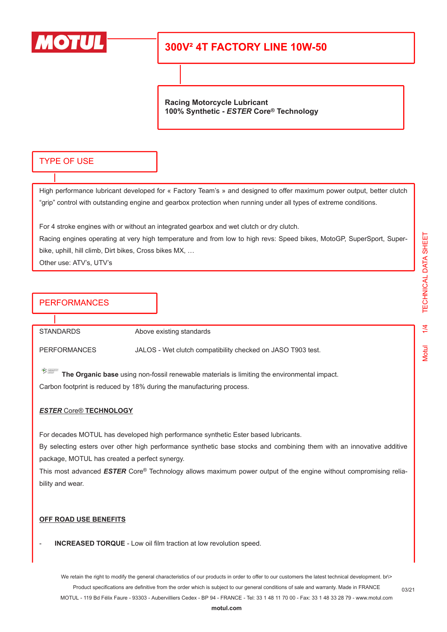

**Racing Motorcycle Lubricant 100% Synthetic -** *ESTER* **Core® Technology**

### TYPE OF USE

High performance lubricant developed for « Factory Team's » and designed to offer maximum power output, better clutch "grip" control with outstanding engine and gearbox protection when running under all types of extreme conditions.

For 4 stroke engines with or without an integrated gearbox and wet clutch or dry clutch.

Racing engines operating at very high temperature and from low to high revs: Speed bikes, MotoGP, SuperSport, Superbike, uphill, hill climb, Dirt bikes, Cross bikes MX, …

Other use: ATV's, UTV's

## **PERFORMANCES**

STANDARDS Above existing standards

PERFORMANCES JALOS - Wet clutch compatibility checked on JASO T903 test.

 $\sum_{i=1}^n \frac{d\mu_i d\mu_i}{d\mu_i d\mu_i}$ **The Organic base** using non-fossil renewable materials is limiting the environmental impact. Carbon footprint is reduced by 18% during the manufacturing process.

### *ESTER* Core® **TECHNOLOGY**

For decades MOTUL has developed high performance synthetic Ester based lubricants.

By selecting esters over other high performance synthetic base stocks and combining them with an innovative additive package, MOTUL has created a perfect synergy.

This most advanced *ESTER* Core® Technology allows maximum power output of the engine without compromising reliability and wear.

#### **OFF ROAD USE BENEFITS**

**INCREASED TORQUE** - Low oil film traction at low revolution speed.

We retain the right to modify the general characteristics of our products in order to offer to our customers the latest technical development. br\> Product specifications are definitive from the order which is subject to our general conditions of sale and warranty. Made in FRANCE MOTUL - 119 Bd Félix Faure - 93303 - Aubervilliers Cedex - BP 94 - FRANCE - Tel: 33 1 48 11 70 00 - Fax: 33 1 48 33 28 79 - www.motul.com

**[motul.com](http://www.motul.com)**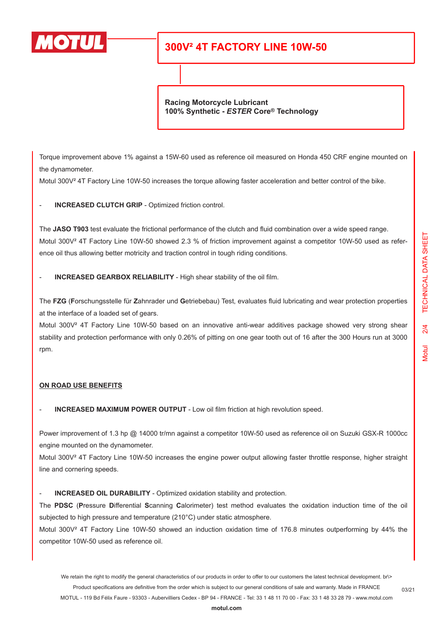

**Racing Motorcycle Lubricant 100% Synthetic -** *ESTER* **Core® Technology**

Torque improvement above 1% against a 15W-60 used as reference oil measured on Honda 450 CRF engine mounted on the dynamometer.

Motul 300V<sup>2</sup> 4T Factory Line 10W-50 increases the torque allowing faster acceleration and better control of the bike.

INCREASED CLUTCH GRIP - Optimized friction control.

The **JASO T903** test evaluate the frictional performance of the clutch and fluid combination over a wide speed range. Motul 300V<sup>2</sup> 4T Factory Line 10W-50 showed 2.3 % of friction improvement against a competitor 10W-50 used as reference oil thus allowing better motricity and traction control in tough riding conditions.

- **INCREASED GEARBOX RELIABILITY** - High shear stability of the oil film.

The **FZG** (**F**orschungsstelle für **Z**ahnrader und **G**etriebebau) Test, evaluates fluid lubricating and wear protection properties at the interface of a loaded set of gears.

Motul 300V<sup>2</sup> 4T Factory Line 10W-50 based on an innovative anti-wear additives package showed very strong shear stability and protection performance with only 0.26% of pitting on one gear tooth out of 16 after the 300 Hours run at 3000 rpm.

### **ON ROAD USE BENEFITS**

**INCREASED MAXIMUM POWER OUTPUT** - Low oil film friction at high revolution speed.

Power improvement of 1.3 hp @ 14000 tr/mn against a competitor 10W-50 used as reference oil on Suzuki GSX-R 1000cc engine mounted on the dynamometer.

Motul 300V<sup>2</sup> 4T Factory Line 10W-50 increases the engine power output allowing faster throttle response, higher straight line and cornering speeds.

INCREASED OIL DURABILITY - Optimized oxidation stability and protection.

The **PDSC** (**P**ressure **D**ifferential **S**canning **C**alorimeter) test method evaluates the oxidation induction time of the oil subjected to high pressure and temperature (210°C) under static atmosphere.

Motul 300V² 4T Factory Line 10W-50 showed an induction oxidation time of 176.8 minutes outperforming by 44% the competitor 10W-50 used as reference oil.

We retain the right to modify the general characteristics of our products in order to offer to our customers the latest technical development. br\> Product specifications are definitive from the order which is subject to our general conditions of sale and warranty. Made in FRANCE

MOTUL - 119 Bd Félix Faure - 93303 - Aubervilliers Cedex - BP 94 - FRANCE - Tel: 33 1 48 11 70 00 - Fax: 33 1 48 33 28 79 - www.motul.com

**[motul.com](http://www.motul.com)**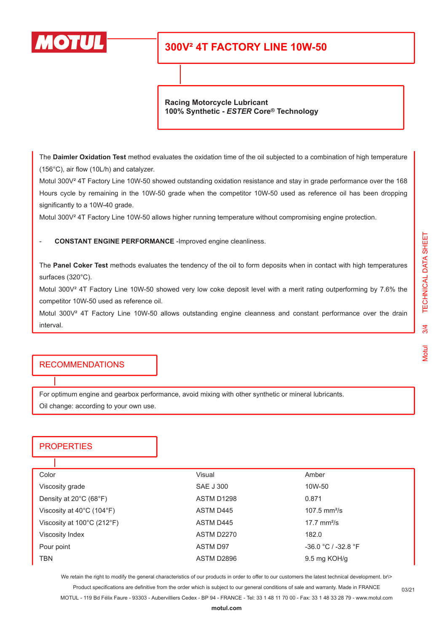

**Racing Motorcycle Lubricant 100% Synthetic -** *ESTER* **Core® Technology**

The **Daimler Oxidation Test** method evaluates the oxidation time of the oil subjected to a combination of high temperature (156°C), air flow (10L/h) and catalyzer.

Motul 300V² 4T Factory Line 10W-50 showed outstanding oxidation resistance and stay in grade performance over the 168 Hours cycle by remaining in the 10W-50 grade when the competitor 10W-50 used as reference oil has been dropping significantly to a 10W-40 grade.

Motul 300V² 4T Factory Line 10W-50 allows higher running temperature without compromising engine protection.

- **CONSTANT ENGINE PERFORMANCE** -Improved engine cleanliness.

The **Panel Coker Test** methods evaluates the tendency of the oil to form deposits when in contact with high temperatures surfaces (320°C).

Motul 300V<sup>2</sup> 4T Factory Line 10W-50 showed very low coke deposit level with a merit rating outperforming by 7.6% the competitor 10W-50 used as reference oil.

Motul 300V² 4T Factory Line 10W-50 allows outstanding engine cleanness and constant performance over the drain interval.

### RECOMMENDATIONS

For optimum engine and gearbox performance, avoid mixing with other synthetic or mineral lubricants. Oil change: according to your own use.

## **PROPERTIES**

| Color                                           | Visual           | Amber                  |
|-------------------------------------------------|------------------|------------------------|
| Viscosity grade                                 | <b>SAE J 300</b> | 10W-50                 |
| Density at $20^{\circ}$ C (68 $^{\circ}$ F)     | ASTM D1298       | 0.871                  |
| Viscosity at 40°C (104°F)                       | ASTM D445        | 107.5 $mm^2/s$         |
| Viscosity at $100^{\circ}$ C (212 $^{\circ}$ F) | ASTM D445        | $17.7 \text{ mm}^2$ /s |
| Viscosity Index                                 | ASTM D2270       | 182.0                  |
| Pour point                                      | <b>ASTM D97</b>  | $-36.0 °C / -32.8 °F$  |
| TBN                                             | ASTM D2896       | 9.5 mg KOH/g           |

We retain the right to modify the general characteristics of our products in order to offer to our customers the latest technical development. br\> Product specifications are definitive from the order which is subject to our general conditions of sale and warranty. Made in FRANCE

MOTUL - 119 Bd Félix Faure - 93303 - Aubervilliers Cedex - BP 94 - FRANCE - Tel: 33 1 48 11 70 00 - Fax: 33 1 48 33 28 79 - www.motul.com

03/21